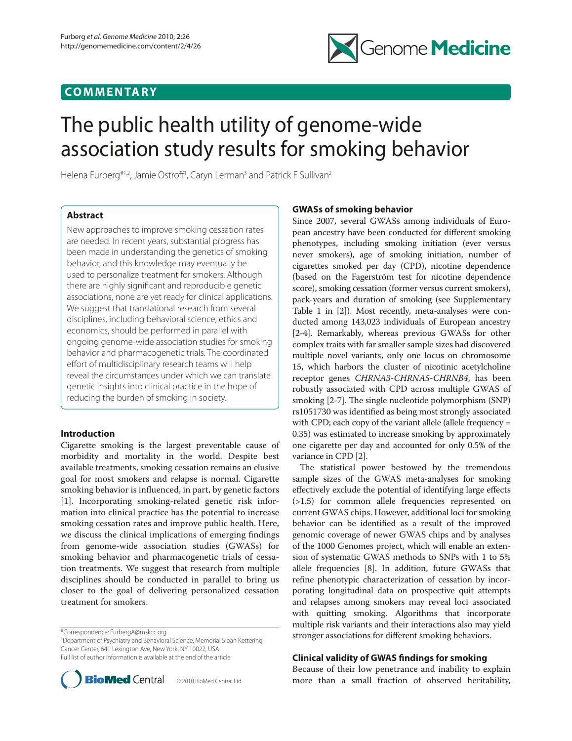## **COMMENTARY**



# The public health utility of genome-wide association study results for smoking behavior

Helena Furberg<sup>\*1,2</sup>, Jamie Ostroff<sup>i</sup>, Caryn Lerman<sup>3</sup> and Patrick F Sullivan<sup>2</sup>

## **Abstract**

New approaches to improve smoking cessation rates are needed. In recent years, substantial progress has been made in understanding the genetics of smoking behavior, and this knowledge may eventually be used to personalize treatment for smokers. Although there are highly significant and reproducible genetic associations, none are yet ready for clinical applications. We suggest that translational research from several disciplines, including behavioral science, ethics and economics, should be performed in parallel with ongoing genome-wide association studies for smoking behavior and pharmacogenetic trials. The coordinated effort of multidisciplinary research teams will help reveal the circumstances under which we can translate genetic insights into clinical practice in the hope of reducing the burden of smoking in society.

## **Introduction**

Cigarette smoking is the largest preventable cause of morbidity and mortality in the world. Despite best available treatments, smoking cessation remains an elusive goal for most smokers and relapse is normal. Cigarette smoking behavior is influenced, in part, by genetic factors [1]. Incorporating smoking-related genetic risk information into clinical practice has the potential to increase smoking cessation rates and improve public health. Here, we discuss the clinical implications of emerging findings from genome-wide association studies (GWASs) for smoking behavior and pharmacogenetic trials of cessation treatments. We suggest that research from multiple disciplines should be conducted in parallel to bring us closer to the goal of delivering personalized cessation treatment for smokers.

\*Correspondence: FurbergA@mskcc.org

<sup>1</sup> Department of Psychiatry and Behavioral Science, Memorial Sloan Kettering Cancer Center, 641 Lexington Ave, New York, NY 10022, USA Full list of author information is available at the end of the article



## **GWASs of smoking behavior**

Since 2007, several GWASs among individuals of European ancestry have been conducted for different smoking phenotypes, including smoking initiation (ever versus never smokers), age of smoking initiation, number of cigarettes smoked per day (CPD), nicotine dependence (based on the Fagerström test for nicotine dependence score), smoking cessation (former versus current smokers), pack-years and duration of smoking (see Supplementary Table 1 in [2]). Most recently, meta-analyses were conducted among 143,023 individuals of European ancestry [2-4]. Remarkably, whereas previous GWASs for other complex traits with far smaller sample sizes had discovered multiple novel variants, only one locus on chromosome 15, which harbors the cluster of nicotinic acetylcholine receptor genes *CHRNA3-CHRNA5-CHRNB4*, has been robustly associated with CPD across multiple GWAS of smoking  $[2-7]$ . The single nucleotide polymorphism  $(SNP)$ rs1051730 was identified as being most strongly associated with CPD; each copy of the variant allele (allele frequency = 0.35) was estimated to increase smoking by approximately one cigarette per day and accounted for only 0.5% of the variance in CPD [2].

The statistical power bestowed by the tremendous sample sizes of the GWAS meta-analyses for smoking effectively exclude the potential of identifying large effects (>1.5) for common allele frequencies represented on current GWAS chips. However, additional loci for smoking behavior can be identified as a result of the improved genomic coverage of newer GWAS chips and by analyses of the 1000 Genomes project, which will enable an extension of systematic GWAS methods to SNPs with 1 to 5% allele frequencies [8]. In addition, future GWASs that refine phenotypic characterization of cessation by incorporating longitudinal data on prospective quit attempts and relapses among smokers may reveal loci associated with quitting smoking. Algorithms that incorporate multiple risk variants and their interactions also may yield stronger associations for different smoking behaviors.

### **Clinical validity of GWAS findings for smoking**

Because of their low penetrance and inability to explain more than a small fraction of observed heritability,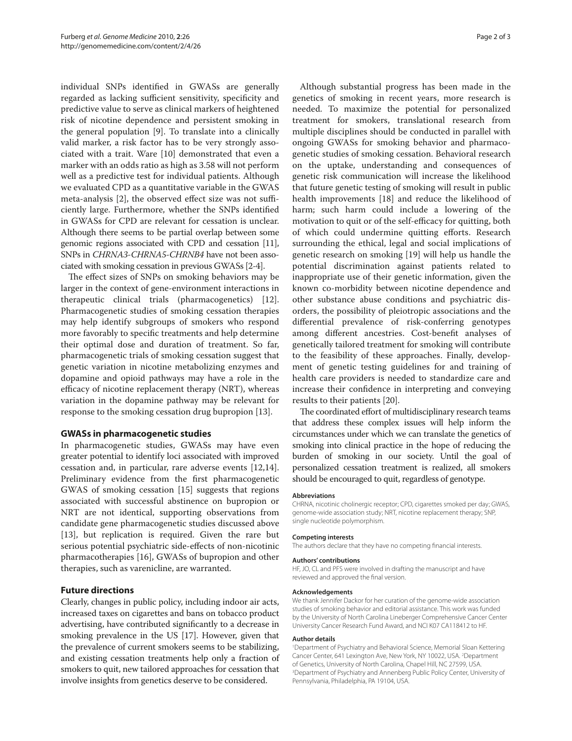individual SNPs identified in GWASs are generally regarded as lacking sufficient sensitivity, specificity and predictive value to serve as clinical markers of heightened risk of nicotine dependence and persistent smoking in the general population [9]. To translate into a clinically valid marker, a risk factor has to be very strongly associated with a trait. Ware [10] demonstrated that even a marker with an odds ratio as high as 3.58 will not perform well as a predictive test for individual patients. Although we evaluated CPD as a quantitative variable in the GWAS meta-analysis [2], the observed effect size was not sufficiently large. Furthermore, whether the SNPs identified in GWASs for CPD are relevant for cessation is unclear. Although there seems to be partial overlap between some genomic regions associated with CPD and cessation [11], SNPs in *CHRNA3-CHRNA5-CHRNB4* have not been associated with smoking cessation in previous GWASs [2-4].

The effect sizes of SNPs on smoking behaviors may be larger in the context of gene-environment interactions in therapeutic clinical trials (pharmacogenetics) [12]. Pharmacogenetic studies of smoking cessation therapies may help identify subgroups of smokers who respond more favorably to specific treatments and help determine their optimal dose and duration of treatment. So far, pharmacogenetic trials of smoking cessation suggest that genetic variation in nicotine metabolizing enzymes and dopamine and opioid pathways may have a role in the efficacy of nicotine replacement therapy (NRT), whereas variation in the dopamine pathway may be relevant for response to the smoking cessation drug bupropion [13].

#### **GWASs in pharmacogenetic studies**

In pharmacogenetic studies, GWASs may have even greater potential to identify loci associated with improved cessation and, in particular, rare adverse events [12,14]. Preliminary evidence from the first pharmacogenetic GWAS of smoking cessation [15] suggests that regions associated with successful abstinence on bupropion or NRT are not identical, supporting observations from candidate gene pharmacogenetic studies discussed above [13], but replication is required. Given the rare but serious potential psychiatric side-effects of non-nicotinic pharmacotherapies [16], GWASs of bupropion and other therapies, such as varenicline, are warranted.

#### **Future directions**

Clearly, changes in public policy, including indoor air acts, increased taxes on cigarettes and bans on tobacco product advertising, have contributed significantly to a decrease in smoking prevalence in the US [17]. However, given that the prevalence of current smokers seems to be stabilizing, and existing cessation treatments help only a fraction of smokers to quit, new tailored approaches for cessation that involve insights from genetics deserve to be considered.

Although substantial progress has been made in the genetics of smoking in recent years, more research is needed. To maximize the potential for personalized treatment for smokers, translational research from multiple disciplines should be conducted in parallel with ongoing GWASs for smoking behavior and pharmacogenetic studies of smoking cessation. Behavioral research on the uptake, understanding and consequences of genetic risk communication will increase the likelihood that future genetic testing of smoking will result in public health improvements [18] and reduce the likelihood of harm; such harm could include a lowering of the motivation to quit or of the self-efficacy for quitting, both of which could undermine quitting efforts. Research surrounding the ethical, legal and social implications of genetic research on smoking [19] will help us handle the potential discrimination against patients related to inappropriate use of their genetic information, given the known co-morbidity between nicotine dependence and other substance abuse conditions and psychiatric disorders, the possibility of pleiotropic associations and the differential prevalence of risk-conferring genotypes among different ancestries. Cost-benefit analyses of genetically tailored treatment for smoking will contribute to the feasibility of these approaches. Finally, development of genetic testing guidelines for and training of health care providers is needed to standardize care and increase their confidence in interpreting and conveying results to their patients [20].

The coordinated effort of multidisciplinary research teams that address these complex issues will help inform the circumstances under which we can translate the genetics of smoking into clinical practice in the hope of reducing the burden of smoking in our society. Until the goal of personalized cessation treatment is realized, all smokers should be encouraged to quit, regardless of genotype.

#### **Abbreviations**

CHRNA, nicotinic cholinergic receptor; CPD, cigarettes smoked per day; GWAS, genome-wide association study; NRT, nicotine replacement therapy; SNP, single nucleotide polymorphism.

#### **Competing interests**

The authors declare that they have no competing financial interests.

#### **Authors' contributions**

HF, JO, CL and PFS were involved in drafting the manuscript and have reviewed and approved the final version.

#### **Acknowledgements**

We thank Jennifer Dackor for her curation of the genome-wide association studies of smoking behavior and editorial assistance. This work was funded by the University of North Carolina Lineberger Comprehensive Cancer Center University Cancer Research Fund Award, and NCI K07 CA118412 to HF.

#### **Author details**

1 Department of Psychiatry and Behavioral Science, Memorial Sloan Kettering Cancer Center, 641 Lexington Ave, New York, NY 10022, USA. 2 Department of Genetics, University of North Carolina, Chapel Hill, NC 27599, USA. 3 Department of Psychiatry and Annenberg Public Policy Center, University of Pennsylvania, Philadelphia, PA 19104, USA.